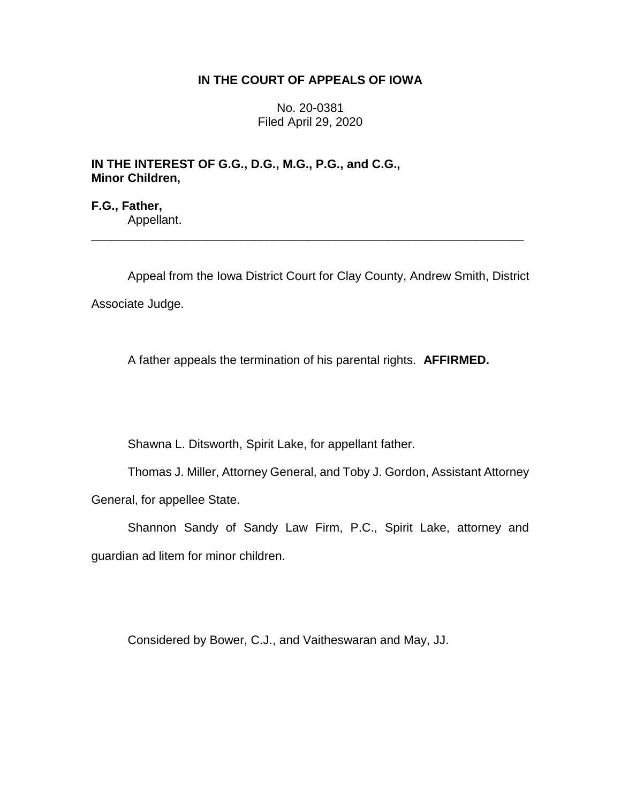## **IN THE COURT OF APPEALS OF IOWA**

No. 20-0381 Filed April 29, 2020

**IN THE INTEREST OF G.G., D.G., M.G., P.G., and C.G., Minor Children,**

**F.G., Father,** Appellant.

Appeal from the Iowa District Court for Clay County, Andrew Smith, District Associate Judge.

\_\_\_\_\_\_\_\_\_\_\_\_\_\_\_\_\_\_\_\_\_\_\_\_\_\_\_\_\_\_\_\_\_\_\_\_\_\_\_\_\_\_\_\_\_\_\_\_\_\_\_\_\_\_\_\_\_\_\_\_\_\_\_\_

A father appeals the termination of his parental rights. **AFFIRMED.**

Shawna L. Ditsworth, Spirit Lake, for appellant father.

Thomas J. Miller, Attorney General, and Toby J. Gordon, Assistant Attorney General, for appellee State.

Shannon Sandy of Sandy Law Firm, P.C., Spirit Lake, attorney and guardian ad litem for minor children.

Considered by Bower, C.J., and Vaitheswaran and May, JJ.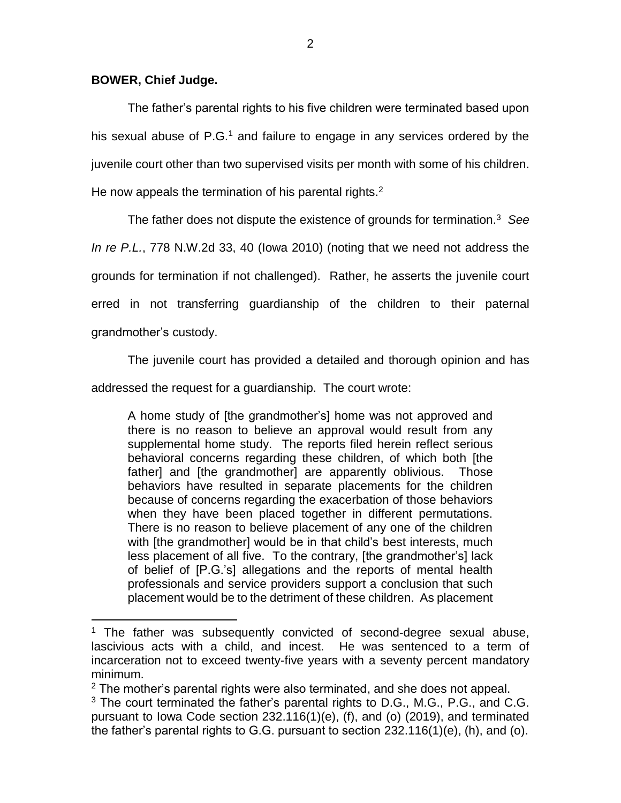## **BOWER, Chief Judge.**

 $\overline{a}$ 

The father's parental rights to his five children were terminated based upon his sexual abuse of  $P.G.<sup>1</sup>$  and failure to engage in any services ordered by the juvenile court other than two supervised visits per month with some of his children. He now appeals the termination of his parental rights. $2$ 

The father does not dispute the existence of grounds for termination.<sup>3</sup> *See In re P.L.*, 778 N.W.2d 33, 40 (Iowa 2010) (noting that we need not address the grounds for termination if not challenged). Rather, he asserts the juvenile court erred in not transferring guardianship of the children to their paternal grandmother's custody.

The juvenile court has provided a detailed and thorough opinion and has

addressed the request for a guardianship. The court wrote:

A home study of [the grandmother's] home was not approved and there is no reason to believe an approval would result from any supplemental home study. The reports filed herein reflect serious behavioral concerns regarding these children, of which both [the father] and [the grandmother] are apparently oblivious. Those behaviors have resulted in separate placements for the children because of concerns regarding the exacerbation of those behaviors when they have been placed together in different permutations. There is no reason to believe placement of any one of the children with [the grandmother] would be in that child's best interests, much less placement of all five. To the contrary, [the grandmother's] lack of belief of [P.G.'s] allegations and the reports of mental health professionals and service providers support a conclusion that such placement would be to the detriment of these children. As placement

 $1$  The father was subsequently convicted of second-degree sexual abuse, lascivious acts with a child, and incest. He was sentenced to a term of incarceration not to exceed twenty-five years with a seventy percent mandatory minimum.

 $2$  The mother's parental rights were also terminated, and she does not appeal.

 $3$  The court terminated the father's parental rights to D.G., M.G., P.G., and C.G. pursuant to Iowa Code section 232.116(1)(e), (f), and (o) (2019), and terminated the father's parental rights to G.G. pursuant to section 232.116(1)(e), (h), and (o).